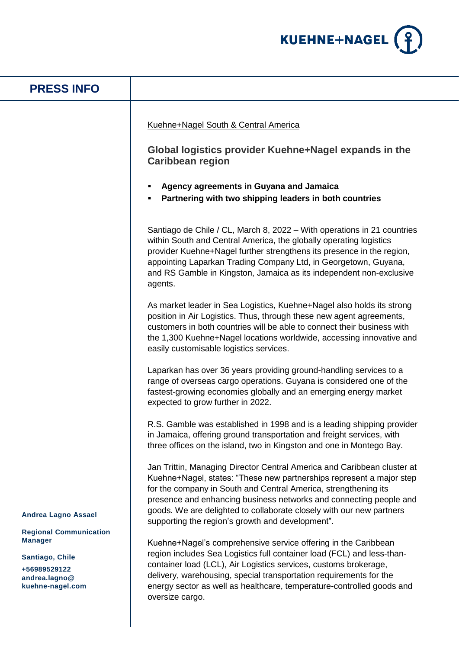

| <b>PRESS INFO</b>                                                                                                                                     |                                                                                                                                                                                                                                                                                                                                                                                                                                                                                                                                                                                                                                                                                                                                                                                                                                                                                                                                                                                                                                                                                                                                                                              |
|-------------------------------------------------------------------------------------------------------------------------------------------------------|------------------------------------------------------------------------------------------------------------------------------------------------------------------------------------------------------------------------------------------------------------------------------------------------------------------------------------------------------------------------------------------------------------------------------------------------------------------------------------------------------------------------------------------------------------------------------------------------------------------------------------------------------------------------------------------------------------------------------------------------------------------------------------------------------------------------------------------------------------------------------------------------------------------------------------------------------------------------------------------------------------------------------------------------------------------------------------------------------------------------------------------------------------------------------|
|                                                                                                                                                       | Kuehne+Nagel South & Central America<br>Global logistics provider Kuehne+Nagel expands in the<br><b>Caribbean region</b><br>Agency agreements in Guyana and Jamaica<br>Partnering with two shipping leaders in both countries<br>Santiago de Chile / CL, March 8, 2022 – With operations in 21 countries<br>within South and Central America, the globally operating logistics<br>provider Kuehne+Nagel further strengthens its presence in the region,<br>appointing Laparkan Trading Company Ltd, in Georgetown, Guyana,<br>and RS Gamble in Kingston, Jamaica as its independent non-exclusive<br>agents.<br>As market leader in Sea Logistics, Kuehne+Nagel also holds its strong<br>position in Air Logistics. Thus, through these new agent agreements,<br>customers in both countries will be able to connect their business with<br>the 1,300 Kuehne+Nagel locations worldwide, accessing innovative and<br>easily customisable logistics services.<br>Laparkan has over 36 years providing ground-handling services to a<br>range of overseas cargo operations. Guyana is considered one of the<br>fastest-growing economies globally and an emerging energy market |
| <b>Andrea Lagno Assael</b><br><b>Regional Communication</b><br><b>Manager</b><br>Santiago, Chile<br>+56989529122<br>andrea.lagno@<br>kuehne-nagel.com | expected to grow further in 2022.<br>R.S. Gamble was established in 1998 and is a leading shipping provider<br>in Jamaica, offering ground transportation and freight services, with<br>three offices on the island, two in Kingston and one in Montego Bay.<br>Jan Trittin, Managing Director Central America and Caribbean cluster at<br>Kuehne+Nagel, states: "These new partnerships represent a major step<br>for the company in South and Central America, strengthening its<br>presence and enhancing business networks and connecting people and<br>goods. We are delighted to collaborate closely with our new partners<br>supporting the region's growth and development".<br>Kuehne+Nagel's comprehensive service offering in the Caribbean<br>region includes Sea Logistics full container load (FCL) and less-than-<br>container load (LCL), Air Logistics services, customs brokerage,<br>delivery, warehousing, special transportation requirements for the<br>energy sector as well as healthcare, temperature-controlled goods and<br>oversize cargo.                                                                                                       |